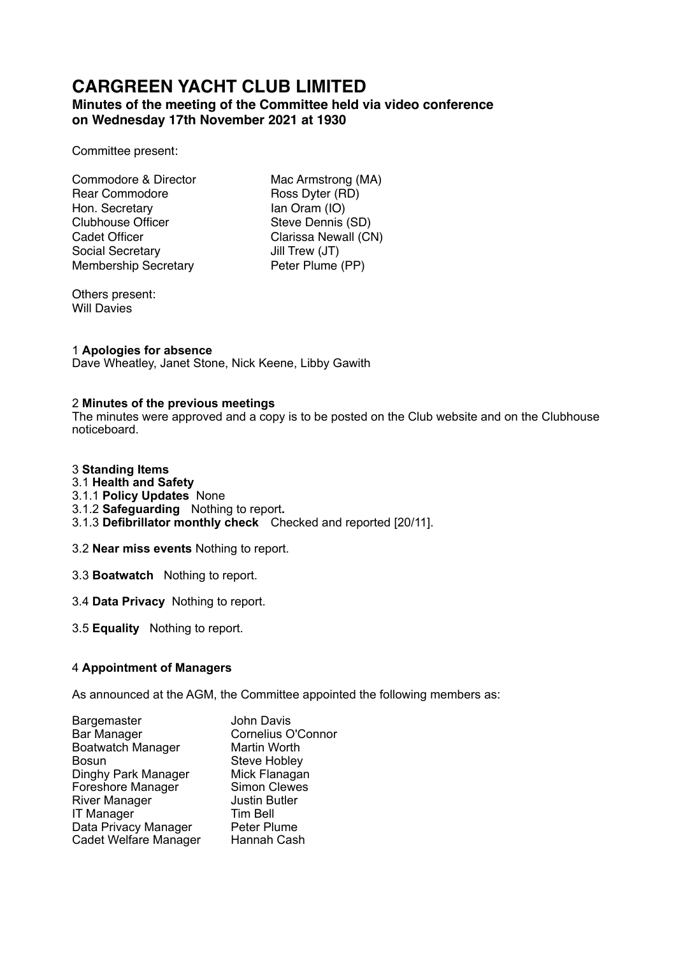# **CARGREEN YACHT CLUB LIMITED**

# **Minutes of the meeting of the Committee held via video conference on Wednesday 17th November 2021 at 1930**

Committee present:

Commodore & Director Mac Armstrong (MA) Rear Commodore Ross Dyter (RD) Hon. Secretary **Ian Oram (IO)** Clubhouse Officer Steve Dennis (SD) Cadet Officer Clarissa Newall (CN) Social Secretary **Jill Trew (JT)** Membership Secretary Peter Plume (PP)

Others present: Will Davies

# 1 **Apologies for absence**

Dave Wheatley, Janet Stone, Nick Keene, Libby Gawith

## 2 **Minutes of the previous meetings**

The minutes were approved and a copy is to be posted on the Club website and on the Clubhouse noticeboard.

## 3 **Standing Items**

- 3.1 **Health and Safety**
- 3.1.1 **Policy Updates** None
- 3.1.2 **Safeguarding** Nothing to report**.**
- 3.1.3 **Defibrillator monthly check** Checked and reported [20/11].

3.2 **Near miss events** Nothing to report.

- 3.3 **Boatwatch** Nothing to report.
- 3.4 **Data Privacy** Nothing to report.
- 3.5 **Equality** Nothing to report.

## 4 **Appointment of Managers**

As announced at the AGM, the Committee appointed the following members as:

| John Davis                |
|---------------------------|
| <b>Cornelius O'Connor</b> |
| Martin Worth              |
| <b>Steve Hobley</b>       |
| Mick Flanagan             |
| <b>Simon Clewes</b>       |
| <b>Justin Butler</b>      |
| <b>Tim Bell</b>           |
| Peter Plume               |
| Hannah Cash               |
|                           |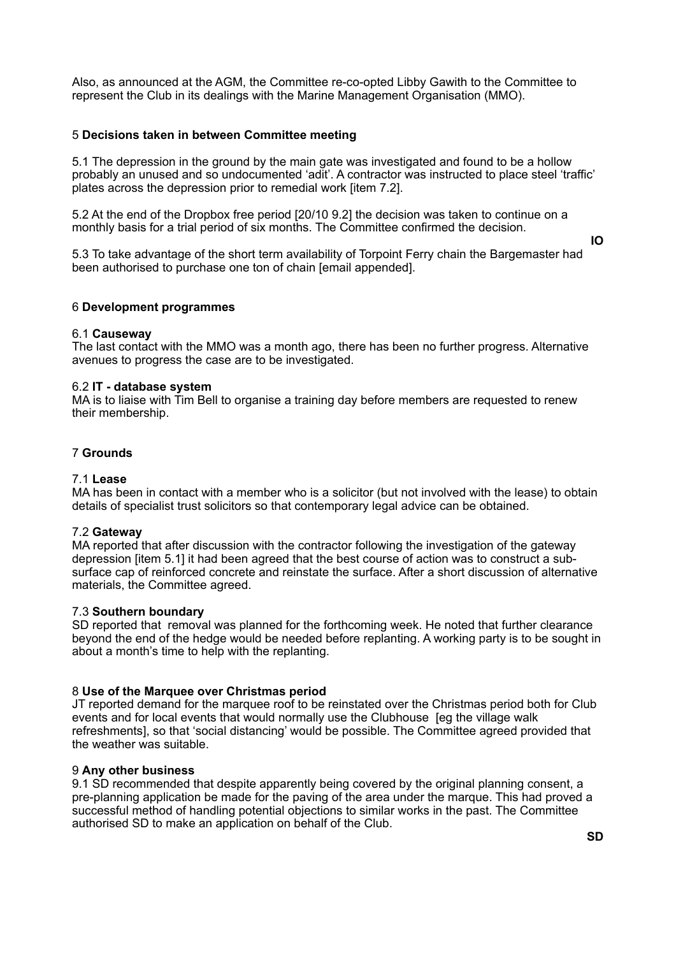Also, as announced at the AGM, the Committee re-co-opted Libby Gawith to the Committee to represent the Club in its dealings with the Marine Management Organisation (MMO).

#### 5 **Decisions taken in between Committee meeting**

5.1 The depression in the ground by the main gate was investigated and found to be a hollow probably an unused and so undocumented 'adit'. A contractor was instructed to place steel 'traffic' plates across the depression prior to remedial work [item 7.2].

5.2 At the end of the Dropbox free period [20/10 9.2] the decision was taken to continue on a monthly basis for a trial period of six months. The Committee confirmed the decision.

**IO** 

5.3 To take advantage of the short term availability of Torpoint Ferry chain the Bargemaster had been authorised to purchase one ton of chain [email appended].

#### 6 **Development programmes**

#### 6.1 **Causeway**

The last contact with the MMO was a month ago, there has been no further progress. Alternative avenues to progress the case are to be investigated.

#### 6.2 **IT - database system**

MA is to liaise with Tim Bell to organise a training day before members are requested to renew their membership.

#### 7 **Grounds**

#### 7.1 **Lease**

MA has been in contact with a member who is a solicitor (but not involved with the lease) to obtain details of specialist trust solicitors so that contemporary legal advice can be obtained.

#### 7.2 **Gateway**

MA reported that after discussion with the contractor following the investigation of the gateway depression [item 5.1] it had been agreed that the best course of action was to construct a subsurface cap of reinforced concrete and reinstate the surface. After a short discussion of alternative materials, the Committee agreed.

#### 7.3 **Southern boundary**

SD reported that removal was planned for the forthcoming week. He noted that further clearance beyond the end of the hedge would be needed before replanting. A working party is to be sought in about a month's time to help with the replanting.

#### 8 **Use of the Marquee over Christmas period**

JT reported demand for the marquee roof to be reinstated over the Christmas period both for Club events and for local events that would normally use the Clubhouse [eg the village walk refreshments], so that 'social distancing' would be possible. The Committee agreed provided that the weather was suitable.

#### 9 **Any other business**

9.1 SD recommended that despite apparently being covered by the original planning consent, a pre-planning application be made for the paving of the area under the marque. This had proved a successful method of handling potential objections to similar works in the past. The Committee authorised SD to make an application on behalf of the Club.